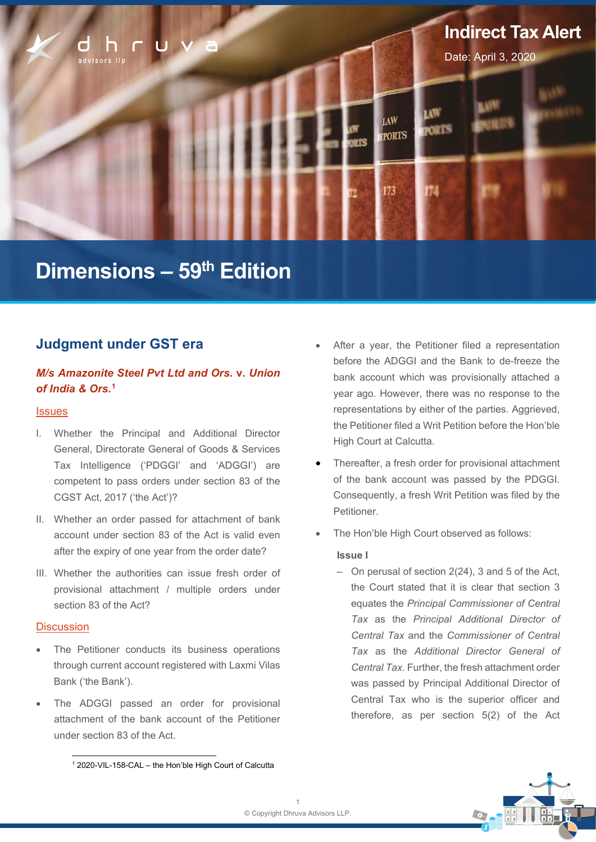

# **Dimensions – 59th Edition**

# **Judgment under GST era**

## *M/s Amazonite Steel Pvt Ltd and Ors.* **v.** *Union of India & Ors.* **[1](#page-0-0)**

#### **Issues**

- I. Whether the Principal and Additional Director General, Directorate General of Goods & Services Tax Intelligence ('PDGGI' and 'ADGGI') are competent to pass orders under section 83 of the CGST Act, 2017 ('the Act')?
- II. Whether an order passed for attachment of bank account under section 83 of the Act is valid even after the expiry of one year from the order date?
- III. Whether the authorities can issue fresh order of provisional attachment / multiple orders under section 83 of the Act?

#### **Discussion**

- The Petitioner conducts its business operations through current account registered with Laxmi Vilas Bank ('the Bank').
- The ADGGI passed an order for provisional attachment of the bank account of the Petitioner under section 83 of the Act.
- Thereafter, a fresh order for provisional attachment of the bank account was passed by the PDGGI. Consequently, a fresh Writ Petition was filed by the Petitioner.
- The Hon'ble High Court observed as follows:

#### **Issue I**

 $-$  On perusal of section 2(24), 3 and 5 of the Act, the Court stated that it is clear that section 3 equates the *Principal Commissioner of Central Tax* as the *Principal Additional Director of Central Tax* and the *Commissioner of Central Tax* as the *Additional Director General of Central Tax*. Further, the fresh attachment order was passed by Principal Additional Director of Central Tax who is the superior officer and therefore, as per section 5(2) of the Act



<span id="page-0-0"></span><sup>1</sup> 2020-VIL-158-CAL – the Hon'ble High Court of Calcutta

After a year, the Petitioner filed a representation before the ADGGI and the Bank to de-freeze the bank account which was provisionally attached a year ago. However, there was no response to the representations by either of the parties. Aggrieved, the Petitioner filed a Writ Petition before the Hon'ble High Court at Calcutta.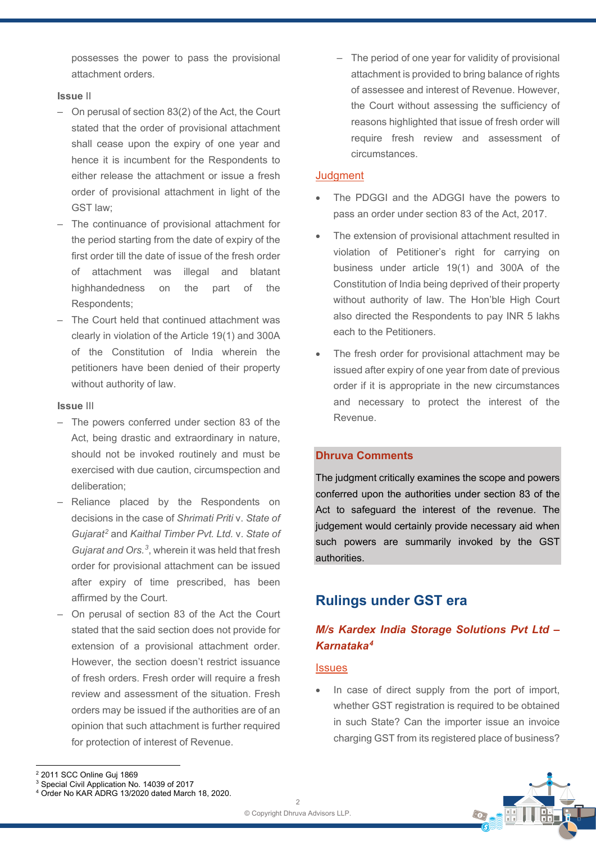possesses the power to pass the provisional attachment orders.

#### **Issue** II

- ‒ On perusal of section 83(2) of the Act, the Court stated that the order of provisional attachment shall cease upon the expiry of one year and hence it is incumbent for the Respondents to either release the attachment or issue a fresh order of provisional attachment in light of the GST law;
- ‒ The continuance of provisional attachment for the period starting from the date of expiry of the first order till the date of issue of the fresh order of attachment was illegal and blatant highhandedness on the part of the Respondents;
- ‒ The Court held that continued attachment was clearly in violation of the Article 19(1) and 300A of the Constitution of India wherein the petitioners have been denied of their property without authority of law.

#### **Issue** III

- ‒ The powers conferred under section 83 of the Act, being drastic and extraordinary in nature, should not be invoked routinely and must be exercised with due caution, circumspection and deliberation;
- ‒ Reliance placed by the Respondents on decisions in the case of *Shrimati Priti* v. *State of Gujarat[2](#page-1-0)* and *Kaithal Timber Pvt. Ltd.* v. *State of Gujarat and Ors.[3](#page-1-1)*, wherein it was held that fresh order for provisional attachment can be issued after expiry of time prescribed, has been affirmed by the Court.
- ‒ On perusal of section 83 of the Act the Court stated that the said section does not provide for extension of a provisional attachment order. However, the section doesn't restrict issuance of fresh orders. Fresh order will require a fresh review and assessment of the situation. Fresh orders may be issued if the authorities are of an opinion that such attachment is further required for protection of interest of Revenue.

- The period of one year for validity of provisional attachment is provided to bring balance of rights of assessee and interest of Revenue. However, the Court without assessing the sufficiency of reasons highlighted that issue of fresh order will require fresh review and assessment of circumstances.

#### **Judament**

- The PDGGI and the ADGGI have the powers to pass an order under section 83 of the Act, 2017.
- The extension of provisional attachment resulted in violation of Petitioner's right for carrying on business under article 19(1) and 300A of the Constitution of India being deprived of their property without authority of law. The Hon'ble High Court also directed the Respondents to pay INR 5 lakhs each to the Petitioners.
- The fresh order for provisional attachment may be issued after expiry of one year from date of previous order if it is appropriate in the new circumstances and necessary to protect the interest of the Revenue.

## **Dhruva Comments**

The judgment critically examines the scope and powers conferred upon the authorities under section 83 of the Act to safeguard the interest of the revenue. The judgement would certainly provide necessary aid when such powers are summarily invoked by the GST authorities.

# **Rulings under GST era**

## *M/s Kardex India Storage Solutions Pvt Ltd – Karnataka[4](#page-1-2)*

#### **Issues**

In case of direct supply from the port of import, whether GST registration is required to be obtained in such State? Can the importer issue an invoice charging GST from its registered place of business?



<span id="page-1-0"></span><sup>2</sup> 2011 SCC Online Guj 1869

<span id="page-1-1"></span><sup>3</sup> Special Civil Application No. 14039 of 2017

<span id="page-1-2"></span><sup>4</sup> Order No KAR ADRG 13/2020 dated March 18, 2020.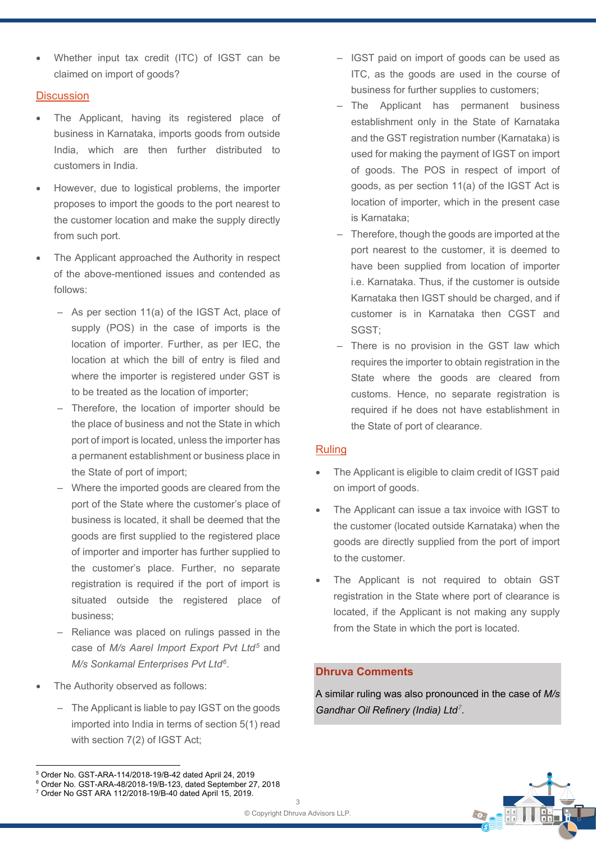• Whether input tax credit (ITC) of IGST can be claimed on import of goods?

## **Discussion**

- The Applicant, having its registered place of business in Karnataka, imports goods from outside India, which are then further distributed to customers in India.
- However, due to logistical problems, the importer proposes to import the goods to the port nearest to the customer location and make the supply directly from such port.
- The Applicant approached the Authority in respect of the above-mentioned issues and contended as follows:
	- As per section 11(a) of the IGST Act, place of supply (POS) in the case of imports is the location of importer. Further, as per IEC, the location at which the bill of entry is filed and where the importer is registered under GST is to be treated as the location of importer;
	- ‒ Therefore, the location of importer should be the place of business and not the State in which port of import is located, unless the importer has a permanent establishment or business place in the State of port of import;
	- ‒ Where the imported goods are cleared from the port of the State where the customer's place of business is located, it shall be deemed that the goods are first supplied to the registered place of importer and importer has further supplied to the customer's place. Further, no separate registration is required if the port of import is situated outside the registered place of business;
	- ‒ Reliance was placed on rulings passed in the case of *M/s Aarel Import Export Pvt Ltd[5](#page-2-0)* and *M/s Sonkamal Enterprises Pvt Ltd[6](#page-2-1)*.
- The Authority observed as follows:
	- The Applicant is liable to pay IGST on the goods imported into India in terms of section 5(1) read with section 7(2) of IGST Act;
- IGST paid on import of goods can be used as ITC, as the goods are used in the course of business for further supplies to customers;
- ‒ The Applicant has permanent business establishment only in the State of Karnataka and the GST registration number (Karnataka) is used for making the payment of IGST on import of goods. The POS in respect of import of goods, as per section 11(a) of the IGST Act is location of importer, which in the present case is Karnataka;
- ‒ Therefore, though the goods are imported at the port nearest to the customer, it is deemed to have been supplied from location of importer i.e. Karnataka. Thus, if the customer is outside Karnataka then IGST should be charged, and if customer is in Karnataka then CGST and SGST;
- There is no provision in the GST law which requires the importer to obtain registration in the State where the goods are cleared from customs. Hence, no separate registration is required if he does not have establishment in the State of port of clearance.

#### Ruling

- The Applicant is eligible to claim credit of IGST paid on import of goods.
- The Applicant can issue a tax invoice with IGST to the customer (located outside Karnataka) when the goods are directly supplied from the port of import to the customer.
- The Applicant is not required to obtain GST registration in the State where port of clearance is located, if the Applicant is not making any supply from the State in which the port is located.

#### **Dhruva Comments**

A similar ruling was also pronounced in the case of *M/s Gandhar Oil Refinery (India) Ltd[7](#page-2-2)*.



<span id="page-2-0"></span><sup>5</sup> Order No. GST-ARA-114/2018-19/B-42 dated April 24, 2019

<span id="page-2-1"></span><sup>6</sup> Order No. GST-ARA-48/2018-19/B-123, dated September 27, 2018

<span id="page-2-2"></span><sup>7</sup> Order No GST ARA 112/2018-19/B-40 dated April 15, 2019.

 $\mathbf{z}$ © Copyright Dhruva Advisors LLP.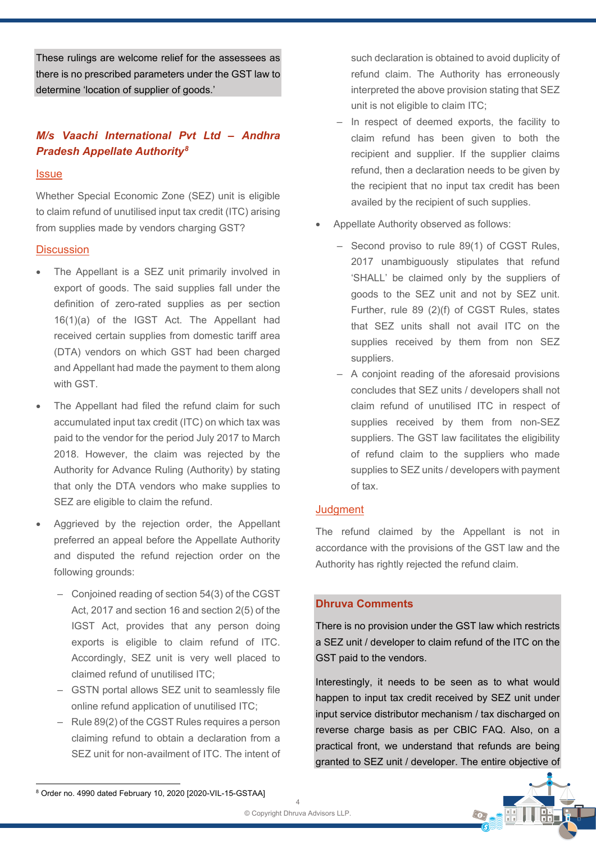These rulings are welcome relief for the assessees as there is no prescribed parameters under the GST law to determine 'location of supplier of goods.'

# *M/s Vaachi International Pvt Ltd – Andhra Pradesh Appellate Authority[8](#page-3-0)*

## **Issue**

Whether Special Economic Zone (SEZ) unit is eligible to claim refund of unutilised input tax credit (ITC) arising from supplies made by vendors charging GST?

## **Discussion**

- The Appellant is a SEZ unit primarily involved in export of goods. The said supplies fall under the definition of zero-rated supplies as per section 16(1)(a) of the IGST Act. The Appellant had received certain supplies from domestic tariff area (DTA) vendors on which GST had been charged and Appellant had made the payment to them along with GST.
- The Appellant had filed the refund claim for such accumulated input tax credit (ITC) on which tax was paid to the vendor for the period July 2017 to March 2018. However, the claim was rejected by the Authority for Advance Ruling (Authority) by stating that only the DTA vendors who make supplies to SEZ are eligible to claim the refund.
- Aggrieved by the rejection order, the Appellant preferred an appeal before the Appellate Authority and disputed the refund rejection order on the following grounds:
	- ‒ Conjoined reading of section 54(3) of the CGST Act, 2017 and section 16 and section 2(5) of the IGST Act, provides that any person doing exports is eligible to claim refund of ITC. Accordingly, SEZ unit is very well placed to claimed refund of unutilised ITC;
	- ‒ GSTN portal allows SEZ unit to seamlessly file online refund application of unutilised ITC;
	- ‒ Rule 89(2) of the CGST Rules requires a person claiming refund to obtain a declaration from a SEZ unit for non-availment of ITC. The intent of

such declaration is obtained to avoid duplicity of refund claim. The Authority has erroneously interpreted the above provision stating that SEZ unit is not eligible to claim ITC;

- ‒ In respect of deemed exports, the facility to claim refund has been given to both the recipient and supplier. If the supplier claims refund, then a declaration needs to be given by the recipient that no input tax credit has been availed by the recipient of such supplies.
- Appellate Authority observed as follows:
	- Second proviso to rule 89(1) of CGST Rules, 2017 unambiguously stipulates that refund 'SHALL' be claimed only by the suppliers of goods to the SEZ unit and not by SEZ unit. Further, rule 89 (2)(f) of CGST Rules, states that SEZ units shall not avail ITC on the supplies received by them from non SEZ suppliers.
	- ‒ A conjoint reading of the aforesaid provisions concludes that SEZ units / developers shall not claim refund of unutilised ITC in respect of supplies received by them from non-SEZ suppliers. The GST law facilitates the eligibility of refund claim to the suppliers who made supplies to SEZ units / developers with payment of tax.

## **Judament**

The refund claimed by the Appellant is not in accordance with the provisions of the GST law and the Authority has rightly rejected the refund claim.

## **Dhruva Comments**

There is no provision under the GST law which restricts a SEZ unit / developer to claim refund of the ITC on the GST paid to the vendors.

Interestingly, it needs to be seen as to what would happen to input tax credit received by SEZ unit under input service distributor mechanism / tax discharged on reverse charge basis as per CBIC FAQ. Also, on a practical front, we understand that refunds are being granted to SEZ unit / developer. The entire objective of



<span id="page-3-0"></span><sup>8</sup> Order no. 4990 dated February 10, 2020 [2020-VIL-15-GSTAA]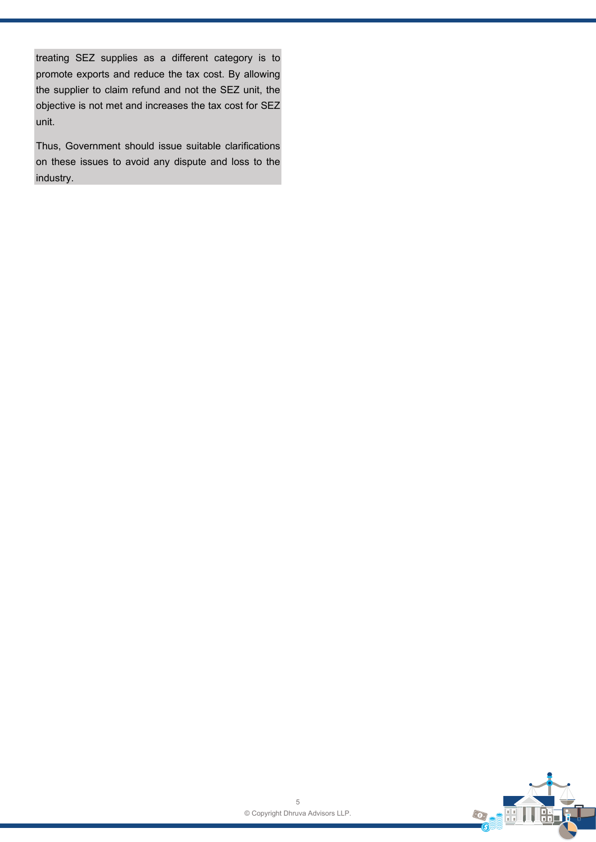treating SEZ supplies as a different category is to promote exports and reduce the tax cost. By allowing the supplier to claim refund and not the SEZ unit, the objective is not met and increases the tax cost for SEZ unit.

Thus, Government should issue suitable clarifications on these issues to avoid any dispute and loss to the industry.